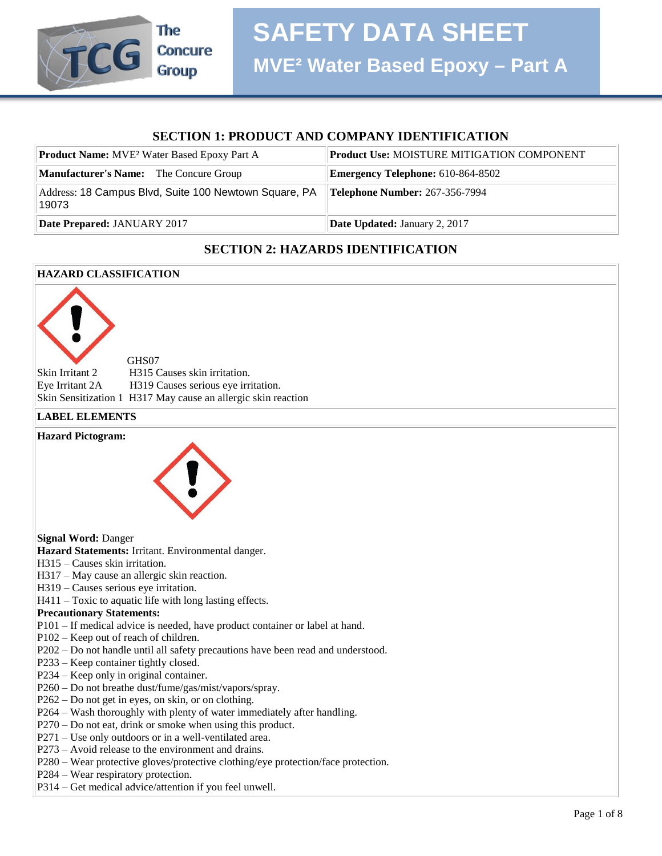

#### **SECTION 1: PRODUCT AND COMPANY IDENTIFICATION**

| <b>Product Name:</b> MVE <sup>2</sup> Water Based Epoxy Part A | Product Use: MOISTURE MITIGATION COMPONENT                    |
|----------------------------------------------------------------|---------------------------------------------------------------|
| <b>Manufacturer's Name:</b> The Concure Group                  | <b>Emergency Telephone:</b> 610-864-8502                      |
| Address: 18 Campus Blvd, Suite 100 Newtown Square, PA<br>19073 | $\textcolor{blue}{\textbf{[Telephone Number: 267-356-7994]}}$ |
| Date Prepared: JANUARY 2017                                    | <b>Date Updated: January 2, 2017</b>                          |

#### **SECTION 2: HAZARDS IDENTIFICATION**

#### **HAZARD CLASSIFICATION**

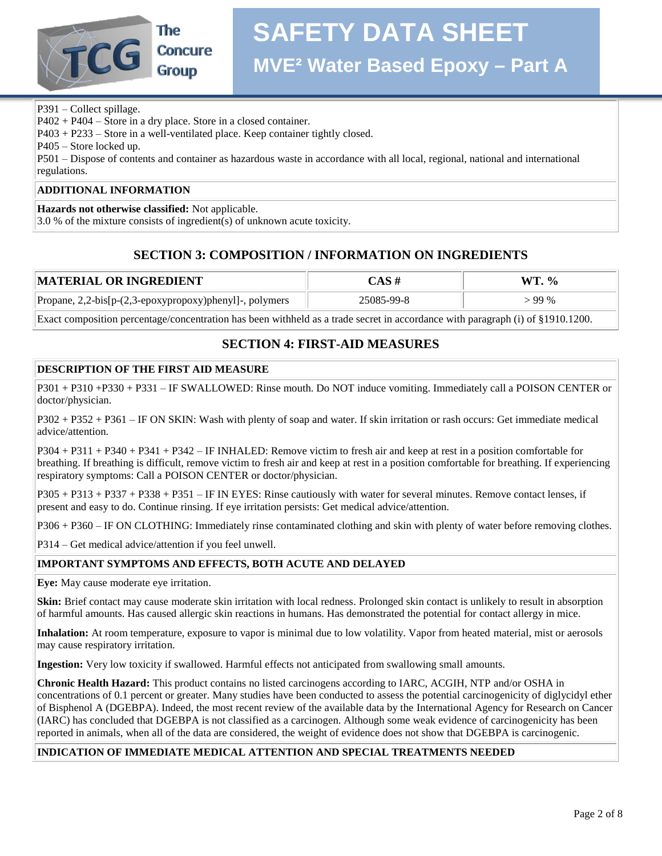

P391 – Collect spillage.

P402 + P404 – Store in a dry place. Store in a closed container.

P403 + P233 – Store in a well-ventilated place. Keep container tightly closed.

P405 – Store locked up.

P501 – Dispose of contents and container as hazardous waste in accordance with all local, regional, national and international regulations.

#### **ADDITIONAL INFORMATION**

**Hazards not otherwise classified:** Not applicable.

3.0 % of the mixture consists of ingredient(s) of unknown acute toxicity.

#### **SECTION 3: COMPOSITION / INFORMATION ON INGREDIENTS**

| <b> MATERIAL OR INGREDIENT</b>                          | $\mathop{\mathsf{CAS}}\nolimits$ # | WT. % |
|---------------------------------------------------------|------------------------------------|-------|
| Propane, 2,2-bis[p-(2,3-epoxypropoxy)phenyl]-, polymers | 25085-99-8                         | 99 %  |

Exact composition percentage/concentration has been withheld as a trade secret in accordance with paragraph (i) of §1910.1200.

#### **SECTION 4: FIRST-AID MEASURES**

#### **DESCRIPTION OF THE FIRST AID MEASURE**

P301 + P310 +P330 + P331 – IF SWALLOWED: Rinse mouth. Do NOT induce vomiting. Immediately call a POISON CENTER or doctor/physician.

P302 + P352 + P361 – IF ON SKIN: Wash with plenty of soap and water. If skin irritation or rash occurs: Get immediate medical advice/attention.

P304 + P311 + P340 + P341 + P342 – IF INHALED: Remove victim to fresh air and keep at rest in a position comfortable for breathing. If breathing is difficult, remove victim to fresh air and keep at rest in a position comfortable for breathing. If experiencing respiratory symptoms: Call a POISON CENTER or doctor/physician.

P305 + P313 + P337 + P338 + P351 – IF IN EYES: Rinse cautiously with water for several minutes. Remove contact lenses, if present and easy to do. Continue rinsing. If eye irritation persists: Get medical advice/attention.

P306 + P360 – IF ON CLOTHING: Immediately rinse contaminated clothing and skin with plenty of water before removing clothes.

P314 – Get medical advice/attention if you feel unwell.

#### **IMPORTANT SYMPTOMS AND EFFECTS, BOTH ACUTE AND DELAYED**

**Eye:** May cause moderate eye irritation.

**Skin:** Brief contact may cause moderate skin irritation with local redness. Prolonged skin contact is unlikely to result in absorption of harmful amounts. Has caused allergic skin reactions in humans. Has demonstrated the potential for contact allergy in mice.

**Inhalation:** At room temperature, exposure to vapor is minimal due to low volatility. Vapor from heated material, mist or aerosols may cause respiratory irritation.

**Ingestion:** Very low toxicity if swallowed. Harmful effects not anticipated from swallowing small amounts.

**Chronic Health Hazard:** This product contains no listed carcinogens according to IARC, ACGIH, NTP and/or OSHA in concentrations of 0.1 percent or greater. Many studies have been conducted to assess the potential carcinogenicity of diglycidyl ether of Bisphenol A (DGEBPA). Indeed, the most recent review of the available data by the International Agency for Research on Cancer (IARC) has concluded that DGEBPA is not classified as a carcinogen. Although some weak evidence of carcinogenicity has been reported in animals, when all of the data are considered, the weight of evidence does not show that DGEBPA is carcinogenic.

#### **INDICATION OF IMMEDIATE MEDICAL ATTENTION AND SPECIAL TREATMENTS NEEDED**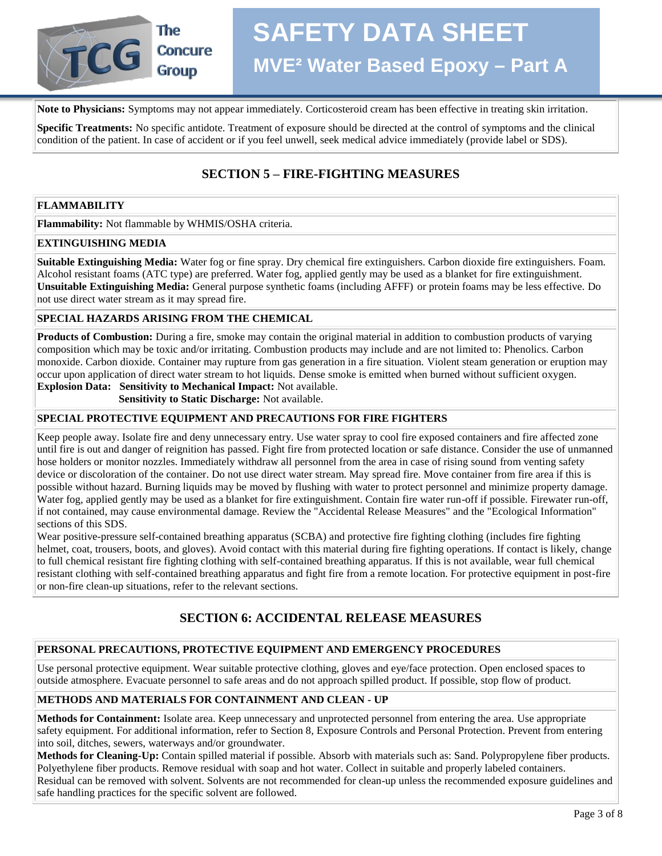

## **SAFETY DATA SHEET MVE² Water Based Epoxy – Part A**

**Note to Physicians:** Symptoms may not appear immediately. Corticosteroid cream has been effective in treating skin irritation.

**Specific Treatments:** No specific antidote. Treatment of exposure should be directed at the control of symptoms and the clinical condition of the patient. In case of accident or if you feel unwell, seek medical advice immediately (provide label or SDS).

#### **SECTION 5 – FIRE-FIGHTING MEASURES**

#### **FLAMMABILITY**

**Flammability:** Not flammable by WHMIS/OSHA criteria.

#### **EXTINGUISHING MEDIA**

**Suitable Extinguishing Media:** Water fog or fine spray. Dry chemical fire extinguishers. Carbon dioxide fire extinguishers. Foam. Alcohol resistant foams (ATC type) are preferred. Water fog, applied gently may be used as a blanket for fire extinguishment. **Unsuitable Extinguishing Media:** General purpose synthetic foams (including AFFF) or protein foams may be less effective. Do not use direct water stream as it may spread fire.

#### **SPECIAL HAZARDS ARISING FROM THE CHEMICAL**

**Products of Combustion:** During a fire, smoke may contain the original material in addition to combustion products of varying composition which may be toxic and/or irritating. Combustion products may include and are not limited to: Phenolics. Carbon monoxide. Carbon dioxide. Container may rupture from gas generation in a fire situation. Violent steam generation or eruption may occur upon application of direct water stream to hot liquids. Dense smoke is emitted when burned without sufficient oxygen.

**Explosion Data: Sensitivity to Mechanical Impact:** Not available.

 **Sensitivity to Static Discharge:** Not available.

#### **SPECIAL PROTECTIVE EQUIPMENT AND PRECAUTIONS FOR FIRE FIGHTERS**

Keep people away. Isolate fire and deny unnecessary entry. Use water spray to cool fire exposed containers and fire affected zone until fire is out and danger of reignition has passed. Fight fire from protected location or safe distance. Consider the use of unmanned hose holders or monitor nozzles. Immediately withdraw all personnel from the area in case of rising sound from venting safety device or discoloration of the container. Do not use direct water stream. May spread fire. Move container from fire area if this is possible without hazard. Burning liquids may be moved by flushing with water to protect personnel and minimize property damage. Water fog, applied gently may be used as a blanket for fire extinguishment. Contain fire water run-off if possible. Firewater run-off, if not contained, may cause environmental damage. Review the "Accidental Release Measures" and the "Ecological Information" sections of this SDS.

Wear positive-pressure self-contained breathing apparatus (SCBA) and protective fire fighting clothing (includes fire fighting helmet, coat, trousers, boots, and gloves). Avoid contact with this material during fire fighting operations. If contact is likely, change to full chemical resistant fire fighting clothing with self-contained breathing apparatus. If this is not available, wear full chemical resistant clothing with self-contained breathing apparatus and fight fire from a remote location. For protective equipment in post-fire or non-fire clean-up situations, refer to the relevant sections.

#### **SECTION 6: ACCIDENTAL RELEASE MEASURES**

#### **PERSONAL PRECAUTIONS, PROTECTIVE EQUIPMENT AND EMERGENCY PROCEDURES**

Use personal protective equipment. Wear suitable protective clothing, gloves and eye/face protection. Open enclosed spaces to outside atmosphere. Evacuate personnel to safe areas and do not approach spilled product. If possible, stop flow of product.

#### **METHODS AND MATERIALS FOR CONTAINMENT AND CLEAN - UP**

**Methods for Containment:** Isolate area. Keep unnecessary and unprotected personnel from entering the area. Use appropriate safety equipment. For additional information, refer to Section 8, Exposure Controls and Personal Protection. Prevent from entering into soil, ditches, sewers, waterways and/or groundwater.

**Methods for Cleaning-Up:** Contain spilled material if possible. Absorb with materials such as: Sand. Polypropylene fiber products. Polyethylene fiber products. Remove residual with soap and hot water. Collect in suitable and properly labeled containers. Residual can be removed with solvent. Solvents are not recommended for clean-up unless the recommended exposure guidelines and safe handling practices for the specific solvent are followed.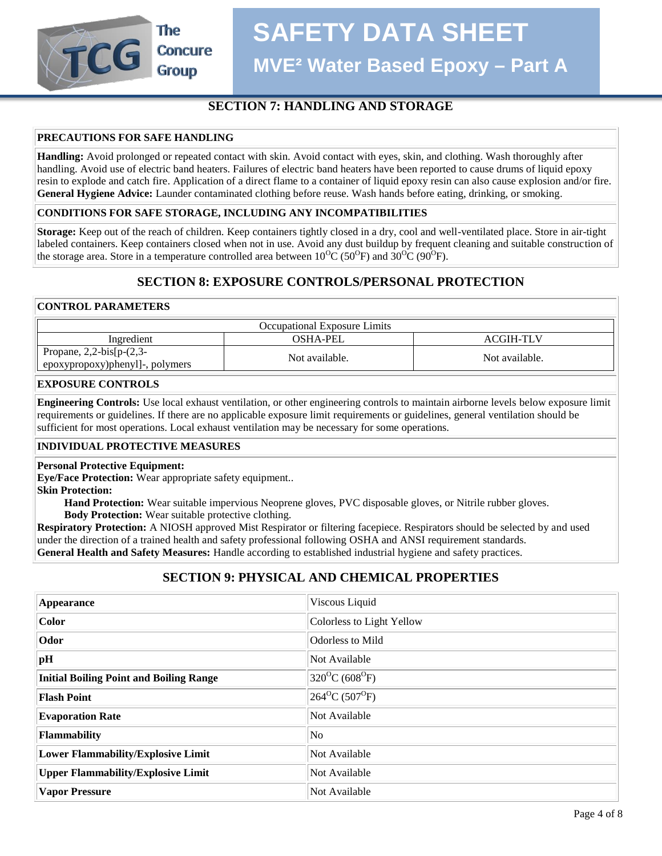**SAFETY DATA SHEET**

**MVE² Water Based Epoxy – Part A**

#### **SECTION 7: HANDLING AND STORAGE**

#### **PRECAUTIONS FOR SAFE HANDLING**

The

**Concure Group** 

**Handling:** Avoid prolonged or repeated contact with skin. Avoid contact with eyes, skin, and clothing. Wash thoroughly after handling. Avoid use of electric band heaters. Failures of electric band heaters have been reported to cause drums of liquid epoxy resin to explode and catch fire. Application of a direct flame to a container of liquid epoxy resin can also cause explosion and/or fire. **General Hygiene Advice:** Launder contaminated clothing before reuse. Wash hands before eating, drinking, or smoking.

#### **CONDITIONS FOR SAFE STORAGE, INCLUDING ANY INCOMPATIBILITIES**

**Storage:** Keep out of the reach of children. Keep containers tightly closed in a dry, cool and well-ventilated place. Store in air-tight labeled containers. Keep containers closed when not in use. Avoid any dust buildup by frequent cleaning and suitable construction of the storage area. Store in a temperature controlled area between  $10^{0}C(50^{0}F)$  and  $30^{0}C(90^{0}F)$ .

#### **SECTION 8: EXPOSURE CONTROLS/PERSONAL PROTECTION**

#### **CONTROL PARAMETERS**

| <b>Occupational Exposure Limits</b>                                 |                |                |
|---------------------------------------------------------------------|----------------|----------------|
| Ingredient                                                          | OSHA-PEL       | ACGIH-TLV      |
| Propane, $2,2$ -bis[ $p-(2,3-$<br>l epoxypropoxy)phenyl]-, polymers | Not available. | Not available. |

#### **EXPOSURE CONTROLS**

**Engineering Controls:** Use local exhaust ventilation, or other engineering controls to maintain airborne levels below exposure limit requirements or guidelines. If there are no applicable exposure limit requirements or guidelines, general ventilation should be sufficient for most operations. Local exhaust ventilation may be necessary for some operations.

#### **INDIVIDUAL PROTECTIVE MEASURES**

#### **Personal Protective Equipment:**

**Eye/Face Protection:** Wear appropriate safety equipment..

**Skin Protection:**

 **Hand Protection:** Wear suitable impervious Neoprene gloves, PVC disposable gloves, or Nitrile rubber gloves.  **Body Protection:** Wear suitable protective clothing.

**Respiratory Protection:** A NIOSH approved Mist Respirator or filtering facepiece. Respirators should be selected by and used under the direction of a trained health and safety professional following OSHA and ANSI requirement standards. **General Health and Safety Measures:** Handle according to established industrial hygiene and safety practices.

#### **SECTION 9: PHYSICAL AND CHEMICAL PROPERTIES**

| Appearance                                     | Viscous Liquid                            |
|------------------------------------------------|-------------------------------------------|
| <b>Color</b>                                   | Colorless to Light Yellow                 |
| Odor                                           | Odorless to Mild                          |
| pH                                             | Not Available                             |
| <b>Initial Boiling Point and Boiling Range</b> | $320^{\circ}C(608^{\circ}F)$              |
| <b>Flash Point</b>                             | $264$ <sup>o</sup> C (507 <sup>o</sup> F) |
| <b>Evaporation Rate</b>                        | Not Available                             |
| <b>Flammability</b>                            | No                                        |
| <b>Lower Flammability/Explosive Limit</b>      | Not Available                             |
| <b>Upper Flammability/Explosive Limit</b>      | Not Available                             |
| <b>Vapor Pressure</b>                          | Not Available                             |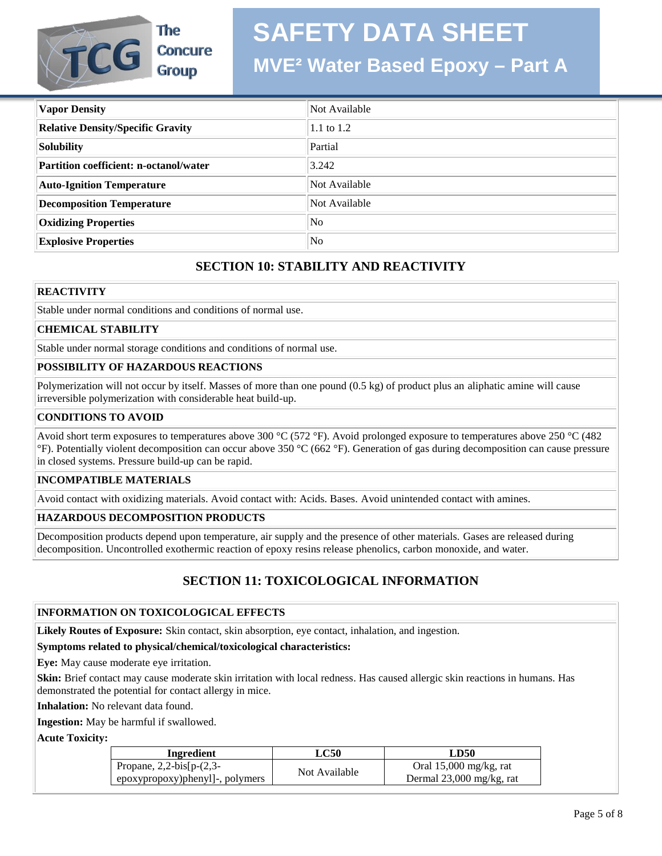## **SAFETY DATA SHEET**



**MVE² Water Based Epoxy – Part A**

| <b>Vapor Density</b>                     | Not Available  |
|------------------------------------------|----------------|
| <b>Relative Density/Specific Gravity</b> | 1.1 to 1.2     |
| <b>Solubility</b>                        | Partial        |
| Partition coefficient: n-octanol/water   | 3.242          |
| <b>Auto-Ignition Temperature</b>         | Not Available  |
| <b>Decomposition Temperature</b>         | Not Available  |
| <b>Oxidizing Properties</b>              | N <sub>0</sub> |
| <b>Explosive Properties</b>              | N <sub>o</sub> |

#### **SECTION 10: STABILITY AND REACTIVITY**

#### **REACTIVITY**

Stable under normal conditions and conditions of normal use.

#### **CHEMICAL STABILITY**

Stable under normal storage conditions and conditions of normal use.

#### **POSSIBILITY OF HAZARDOUS REACTIONS**

Polymerization will not occur by itself. Masses of more than one pound (0.5 kg) of product plus an aliphatic amine will cause irreversible polymerization with considerable heat build-up.

#### **CONDITIONS TO AVOID**

Avoid short term exposures to temperatures above 300 °C (572 °F). Avoid prolonged exposure to temperatures above 250 °C (482) °F). Potentially violent decomposition can occur above 350 °C (662 °F). Generation of gas during decomposition can cause pressure in closed systems. Pressure build-up can be rapid.

#### **INCOMPATIBLE MATERIALS**

Avoid contact with oxidizing materials. Avoid contact with: Acids. Bases. Avoid unintended contact with amines.

#### **HAZARDOUS DECOMPOSITION PRODUCTS**

Decomposition products depend upon temperature, air supply and the presence of other materials. Gases are released during decomposition. Uncontrolled exothermic reaction of epoxy resins release phenolics, carbon monoxide, and water.

#### **SECTION 11: TOXICOLOGICAL INFORMATION**

#### **INFORMATION ON TOXICOLOGICAL EFFECTS**

**Likely Routes of Exposure:** Skin contact, skin absorption, eye contact, inhalation, and ingestion.

#### **Symptoms related to physical/chemical/toxicological characteristics:**

**Eye:** May cause moderate eye irritation.

**Skin:** Brief contact may cause moderate skin irritation with local redness. Has caused allergic skin reactions in humans. Has demonstrated the potential for contact allergy in mice.

**Inhalation:** No relevant data found.

**Ingestion:** May be harmful if swallowed.

**Acute Toxicity:**

| Ingredient                      | LC50          | LD50                     |
|---------------------------------|---------------|--------------------------|
| Propane, $2,2-bis[p-(2,3-$      | Not Available | Oral $15,000$ mg/kg, rat |
| epoxypropoxy)phenyl]-, polymers |               | Dermal 23,000 mg/kg, rat |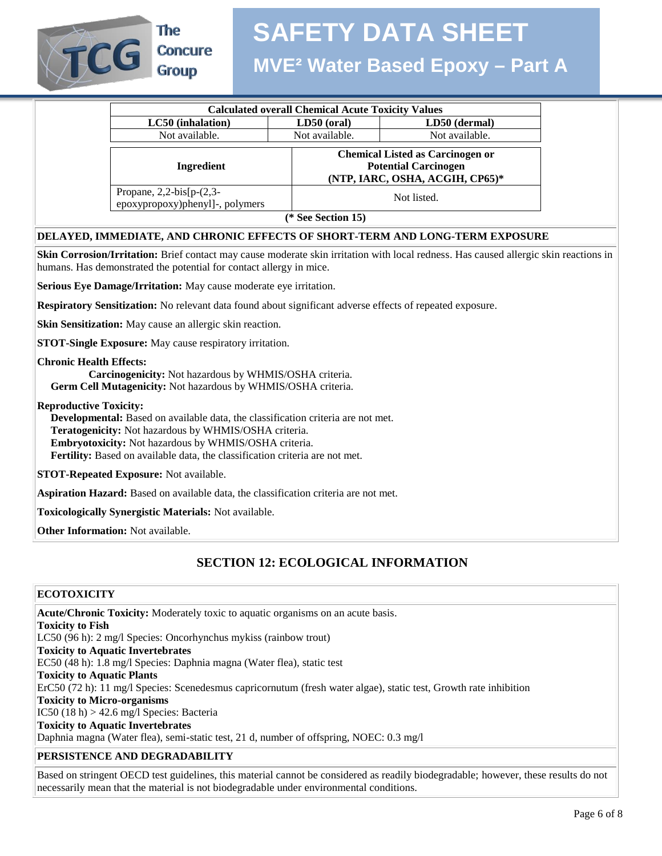

The **Concure** 

# **SAFETY DATA SHEET**

## **MVE² Water Based Epoxy – Part A**

| <b>Calculated overall Chemical Acute Toxicity Values</b>      |                    |                                                                                                           |
|---------------------------------------------------------------|--------------------|-----------------------------------------------------------------------------------------------------------|
| LC50 (inhalation)                                             | $LD50$ (oral)      | LD50 (dermal)                                                                                             |
| Not available.                                                | Not available.     | Not available.                                                                                            |
| Ingredient                                                    |                    | <b>Chemical Listed as Carcinogen or</b><br><b>Potential Carcinogen</b><br>(NTP, IARC, OSHA, ACGIH, CP65)* |
| Propane, $2,2-bis[p-(2,3-$<br>epoxypropoxy)phenyl]-, polymers |                    | Not listed.                                                                                               |
|                                                               | (* See Section 15) |                                                                                                           |

#### **DELAYED, IMMEDIATE, AND CHRONIC EFFECTS OF SHORT-TERM AND LONG-TERM EXPOSURE**

**Skin Corrosion/Irritation:** Brief contact may cause moderate skin irritation with local redness. Has caused allergic skin reactions in humans. Has demonstrated the potential for contact allergy in mice.

**Serious Eye Damage/Irritation:** May cause moderate eye irritation.

**Respiratory Sensitization:** No relevant data found about significant adverse effects of repeated exposure.

**Skin Sensitization:** May cause an allergic skin reaction.

**STOT-Single Exposure:** May cause respiratory irritation.

**Chronic Health Effects:**

 **Carcinogenicity:** Not hazardous by WHMIS/OSHA criteria.

 **Germ Cell Mutagenicity:** Not hazardous by WHMIS/OSHA criteria.

**Reproductive Toxicity:**

 **Developmental:** Based on available data, the classification criteria are not met.  **Teratogenicity:** Not hazardous by WHMIS/OSHA criteria.  **Embryotoxicity:** Not hazardous by WHMIS/OSHA criteria.  **Fertility:** Based on available data, the classification criteria are not met.

**STOT-Repeated Exposure:** Not available.

**Aspiration Hazard:** Based on available data, the classification criteria are not met.

**Toxicologically Synergistic Materials:** Not available.

**Other Information:** Not available.

#### **SECTION 12: ECOLOGICAL INFORMATION**

#### **ECOTOXICITY**

**Acute/Chronic Toxicity:** Moderately toxic to aquatic organisms on an acute basis. **Toxicity to Fish** LC50 (96 h): 2 mg/l Species: Oncorhynchus mykiss (rainbow trout) **Toxicity to Aquatic Invertebrates** EC50 (48 h): 1.8 mg/l Species: Daphnia magna (Water flea), static test **Toxicity to Aquatic Plants** ErC50 (72 h): 11 mg/l Species: Scenedesmus capricornutum (fresh water algae), static test, Growth rate inhibition **Toxicity to Micro-organisms** IC50  $(18 h) > 42.6$  mg/l Species: Bacteria **Toxicity to Aquatic Invertebrates** Daphnia magna (Water flea), semi-static test, 21 d, number of offspring, NOEC: 0.3 mg/l

#### **PERSISTENCE AND DEGRADABILITY**

Based on stringent OECD test guidelines, this material cannot be considered as readily biodegradable; however, these results do not necessarily mean that the material is not biodegradable under environmental conditions.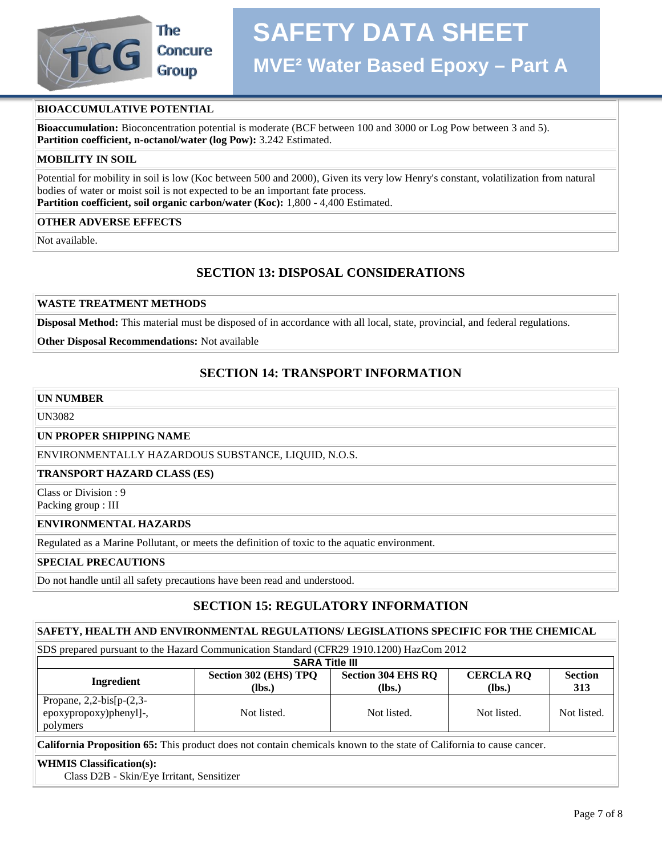

# **Concure**

# **SAFETY DATA SHEET**

### **MVE² Water Based Epoxy – Part A**

#### **BIOACCUMULATIVE POTENTIAL**

**Bioaccumulation:** Bioconcentration potential is moderate (BCF between 100 and 3000 or Log Pow between 3 and 5). **Partition coefficient, n-octanol/water (log Pow):** 3.242 Estimated.

#### **MOBILITY IN SOIL**

Potential for mobility in soil is low (Koc between 500 and 2000), Given its very low Henry's constant, volatilization from natural bodies of water or moist soil is not expected to be an important fate process. **Partition coefficient, soil organic carbon/water (Koc):** 1,800 - 4,400 Estimated.

#### **OTHER ADVERSE EFFECTS**

Not available.

#### **SECTION 13: DISPOSAL CONSIDERATIONS**

#### **WASTE TREATMENT METHODS**

**Disposal Method:** This material must be disposed of in accordance with all local, state, provincial, and federal regulations.

#### **Other Disposal Recommendations:** Not available

#### **SECTION 14: TRANSPORT INFORMATION**

#### **UN NUMBER**

UN3082

**UN PROPER SHIPPING NAME**

ENVIRONMENTALLY HAZARDOUS SUBSTANCE, LIQUID, N.O.S.

#### **TRANSPORT HAZARD CLASS (ES)**

Class or Division : 9 Packing group : III

#### **ENVIRONMENTAL HAZARDS**

Regulated as a Marine Pollutant, or meets the definition of toxic to the aquatic environment.

#### **SPECIAL PRECAUTIONS**

Do not handle until all safety precautions have been read and understood.

#### **SECTION 15: REGULATORY INFORMATION**

#### **SAFETY, HEALTH AND ENVIRONMENTAL REGULATIONS/ LEGISLATIONS SPECIFIC FOR THE CHEMICAL**

SDS prepared pursuant to the Hazard Communication Standard (CFR29 1910.1200) HazCom 2012

| <b>SARA Title III</b>                                            |                                 |                                     |                            |                       |
|------------------------------------------------------------------|---------------------------------|-------------------------------------|----------------------------|-----------------------|
| Ingredient                                                       | Section 302 (EHS) TPQ<br>(lbs.) | <b>Section 304 EHS RQ</b><br>$lbs.$ | <b>CERCLA RQ</b><br>(lbs.) | <b>Section</b><br>313 |
| Propane, $2,2-bis[p-(2,3-$<br>epoxypropoxy)phenyl]-,<br>polymers | Not listed.                     | Not listed.                         | Not listed.                | Not listed.           |

**California Proposition 65:** This product does not contain chemicals known to the state of California to cause cancer.

#### **WHMIS Classification(s):**

Class D2B - Skin/Eye Irritant, Sensitizer